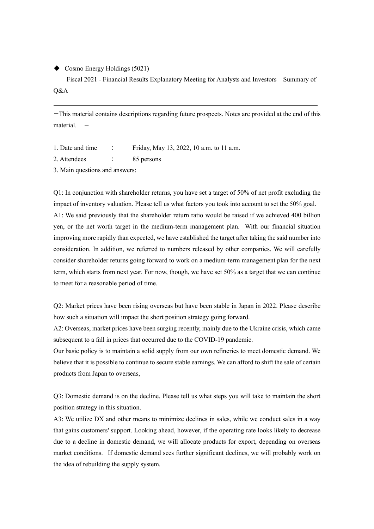◆ Cosmo Energy Holdings (5021)

Fiscal 2021 - Financial Results Explanatory Meeting for Analysts and Investors – Summary of Q&A

ーThis material contains descriptions regarding future prospects. Notes are provided at the end of this material.

1. Date and time : Friday, May 13, 2022, 10 a.m. to 11 a.m.

2. Attendees : 85 persons

3. Main questions and answers:

Q1: In conjunction with shareholder returns, you have set a target of 50% of net profit excluding the impact of inventory valuation. Please tell us what factors you took into account to set the 50% goal. A1: We said previously that the shareholder return ratio would be raised if we achieved 400 billion yen, or the net worth target in the medium-term management plan. With our financial situation improving more rapidly than expected, we have established the target after taking the said number into consideration. In addition, we referred to numbers released by other companies. We will carefully consider shareholder returns going forward to work on a medium-term management plan for the next term, which starts from next year. For now, though, we have set 50% as a target that we can continue to meet for a reasonable period of time.

Q2: Market prices have been rising overseas but have been stable in Japan in 2022. Please describe how such a situation will impact the short position strategy going forward.

A2: Overseas, market prices have been surging recently, mainly due to the Ukraine crisis, which came subsequent to a fall in prices that occurred due to the COVID-19 pandemic.

Our basic policy is to maintain a solid supply from our own refineries to meet domestic demand. We believe that it is possible to continue to secure stable earnings. We can afford to shift the sale of certain products from Japan to overseas,

Q3: Domestic demand is on the decline. Please tell us what steps you will take to maintain the short position strategy in this situation.

A3: We utilize DX and other means to minimize declines in sales, while we conduct sales in a way that gains customers' support. Looking ahead, however, if the operating rate looks likely to decrease due to a decline in domestic demand, we will allocate products for export, depending on overseas market conditions. If domestic demand sees further significant declines, we will probably work on the idea of rebuilding the supply system.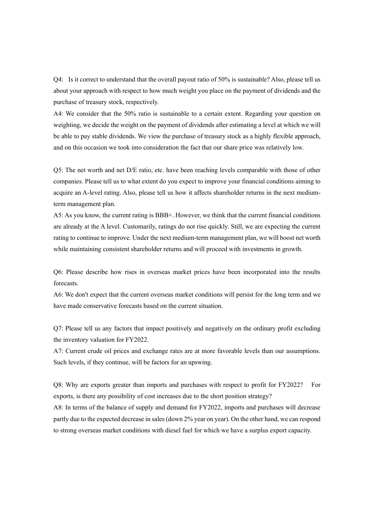Q4: Is it correct to understand that the overall payout ratio of 50% is sustainable? Also, please tell us about your approach with respect to how much weight you place on the payment of dividends and the purchase of treasury stock, respectively.

A4: We consider that the 50% ratio is sustainable to a certain extent. Regarding your question on weighting, we decide the weight on the payment of dividends after estimating a level at which we will be able to pay stable dividends. We view the purchase of treasury stock as a highly flexible approach, and on this occasion we took into consideration the fact that our share price was relatively low.

Q5: The net worth and net D/E ratio, etc. have been reaching levels comparable with those of other companies. Please tell us to what extent do you expect to improve your financial conditions aiming to acquire an A-level rating. Also, please tell us how it affects shareholder returns in the next mediumterm management plan.

A5: As you know, the current rating is BBB+. However, we think that the current financial conditions are already at the A level. Customarily, ratings do not rise quickly. Still, we are expecting the current rating to continue to improve. Under the next medium-term management plan, we will boost net worth while maintaining consistent shareholder returns and will proceed with investments in growth.

Q6: Please describe how rises in overseas market prices have been incorporated into the results forecasts.

A6: We don't expect that the current overseas market conditions will persist for the long term and we have made conservative forecasts based on the current situation.

Q7: Please tell us any factors that impact positively and negatively on the ordinary profit excluding the inventory valuation for FY2022.

A7: Current crude oil prices and exchange rates are at more favorable levels than our assumptions. Such levels, if they continue, will be factors for an upswing.

Q8: Why are exports greater than imports and purchases with respect to profit for FY2022? For exports, is there any possibility of cost increases due to the short position strategy?

A8: In terms of the balance of supply and demand for FY2022, imports and purchases will decrease partly due to the expected decrease in sales (down 2% year on year). On the other hand, we can respond to strong overseas market conditions with diesel fuel for which we have a surplus export capacity.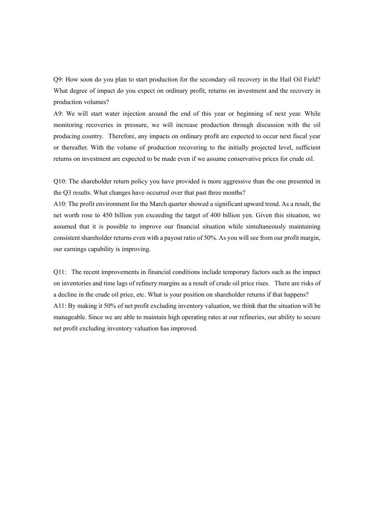Q9: How soon do you plan to start production for the secondary oil recovery in the Hail Oil Field? What degree of impact do you expect on ordinary profit, returns on investment and the recovery in production volumes?

A9: We will start water injection around the end of this year or beginning of next year. While monitoring recoveries in pressure, we will increase production through discussion with the oil producing country. Therefore, any impacts on ordinary profit are expected to occur next fiscal year or thereafter. With the volume of production recovering to the initially projected level, sufficient returns on investment are expected to be made even if we assume conservative prices for crude oil.

Q10: The shareholder return policy you have provided is more aggressive than the one presented in the Q3 results. What changes have occurred over that past three months?

A10: The profit environment for the March quarter showed a significant upward trend. As a result, the net worth rose to 450 billion yen exceeding the target of 400 billion yen. Given this situation, we assumed that it is possible to improve our financial situation while simultaneously maintaining consistent shareholder returns even with a payout ratio of 50%. As you will see from our profit margin, our earnings capability is improving.

Q11: The recent improvements in financial conditions include temporary factors such as the impact on inventories and time lags of refinery margins as a result of crude oil price rises. There are risks of a decline in the crude oil price, etc. What is your position on shareholder returns if that happens? A11: By making it 50% of net profit excluding inventory valuation, we think that the situation will be manageable. Since we are able to maintain high operating rates at our refineries, our ability to secure net profit excluding inventory valuation has improved.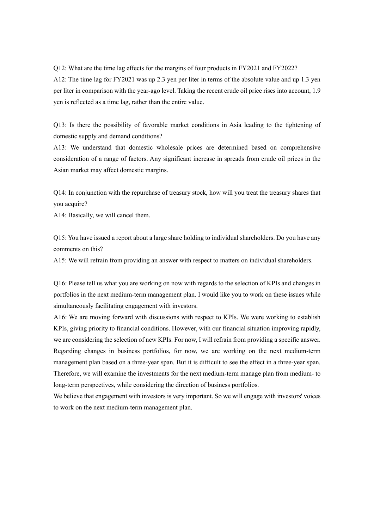Q12: What are the time lag effects for the margins of four products in FY2021 and FY2022?

A12: The time lag for FY2021 was up 2.3 yen per liter in terms of the absolute value and up 1.3 yen per liter in comparison with the year-ago level. Taking the recent crude oil price rises into account, 1.9 yen is reflected as a time lag, rather than the entire value.

Q13: Is there the possibility of favorable market conditions in Asia leading to the tightening of domestic supply and demand conditions?

A13: We understand that domestic wholesale prices are determined based on comprehensive consideration of a range of factors. Any significant increase in spreads from crude oil prices in the Asian market may affect domestic margins.

Q14: In conjunction with the repurchase of treasury stock, how will you treat the treasury shares that you acquire?

A14: Basically, we will cancel them.

Q15: You have issued a report about a large share holding to individual shareholders. Do you have any comments on this?

A15: We will refrain from providing an answer with respect to matters on individual shareholders.

Q16: Please tell us what you are working on now with regards to the selection of KPIs and changes in portfolios in the next medium-term management plan. I would like you to work on these issues while simultaneously facilitating engagement with investors.

A16: We are moving forward with discussions with respect to KPIs. We were working to establish KPIs, giving priority to financial conditions. However, with our financial situation improving rapidly, we are considering the selection of new KPIs. For now, I will refrain from providing a specific answer. Regarding changes in business portfolios, for now, we are working on the next medium-term management plan based on a three-year span. But it is difficult to see the effect in a three-year span. Therefore, we will examine the investments for the next medium-term manage plan from medium- to long-term perspectives, while considering the direction of business portfolios.

We believe that engagement with investors is very important. So we will engage with investors' voices to work on the next medium-term management plan.